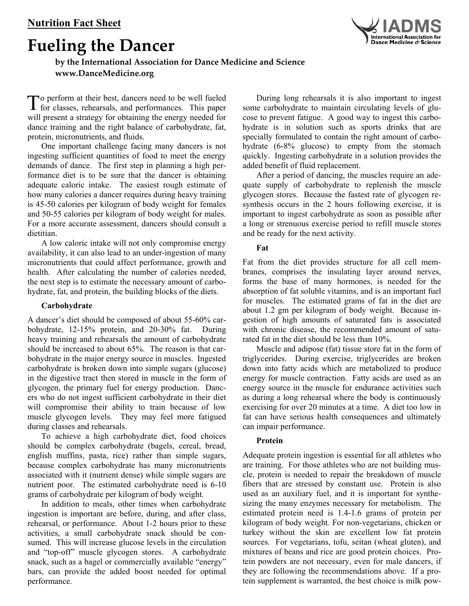# **Fueling the Dancer**



## **by the International Association for Dance Medicine and Science [www.DanceMedicine.org](http://www.DanceMedicine.org)**

 o perform at their best, dancers need to be well fueled To perform at their best, dancers need to be well fueled<br>for classes, rehearsals, and performances. This paper will present a strategy for obtaining the energy needed for dance training and the right balance of carbohydrate, fat, protein, micronutrients, and fluids.

One important challenge facing many dancers is not ingesting sufficient quantities of food to meet the energy demands of dance. The first step in planning a high performance diet is to be sure that the dancer is obtaining adequate caloric intake. The easiest rough estimate of how many calories a dancer requires during heavy training is 45-50 calories per kilogram of body weight for females and 50-55 calories per kilogram of body weight for males. For a more accurate assessment, dancers should consult a dietitian.

A low caloric intake will not only compromise energy availability, it can also lead to an under-ingestion of many micronutrients that could affect performance, growth and health. After calculating the number of calories needed, the next step is to estimate the necessary amount of carbohydrate, fat, and protein, the building blocks of the diets.

### **Carbohydrate**

A dancer's diet should be composed of about 55-60% carbohydrate, 12-15% protein, and 20-30% fat. During heavy training and rehearsals the amount of carbohydrate should be increased to about 65%. The reason is that carbohydrate in the major energy source in muscles. Ingested carbohydrate is broken down into simple sugars (glucose) in the digestive tract then stored in muscle in the form of glycogen, the primary fuel for energy production. Dancers who do not ingest sufficient carbohydrate in their diet will compromise their ability to train because of low muscle glycogen levels. They may feel more fatigued during classes and rehearsals.

To achieve a high carbohydrate diet, food choices should be complex carbohydrate (bagels, cereal, bread, english muffins, pasta, rice) rather than simple sugars, because complex carbohydrate has many micronutrients associated with it (nutrient dense) while simple sugars are nutrient poor. The estimated carbohydrate need is 6-10 grams of carbohydrate per kilogram of body weight*.* 

In addition to meals, other times when carbohydrate ingestion is important are before, during, and after class, rehearsal, or performance. About 1-2 hours prior to these activities, a small carbohydrate snack should be consumed. This will increase glucose levels in the circulation and "top-off" muscle glycogen stores. A carbohydrate snack, such as a bagel or commercially available "energy" bars, can provide the added boost needed for optimal performance.

During long rehearsals it is also important to ingest some carbohydrate to maintain circulating levels of glucose to prevent fatigue. A good way to ingest this carbohydrate is in solution such as sports drinks that are specially formulated to contain the right amount of carbohydrate (6-8% glucose) to empty from the stomach quickly. Ingesting carbohydrate in a solution provides the added benefit of fluid replacement.

After a period of dancing, the muscles require an adequate supply of carbohydrate to replenish the muscle glycogen stores. Because the fastest rate of glycogen resynthesis occurs in the 2 hours following exercise, it is important to ingest carbohydrate as soon as possible after a long or strenuous exercise period to refill muscle stores and be ready for the next activity.

### **Fat**

Fat from the diet provides structure for all cell membranes, comprises the insulating layer around nerves, forms the base of many hormones, is needed for the absorption of fat soluble vitamins, and is an important fuel for muscles. The estimated grams of fat in the diet are about 1.2 gm per kilogram of body weight. Because ingestion of high amounts of saturated fats is associated with chronic disease, the recommended amount of saturated fat in the diet should be less than 10%.

Muscle and adipose (fat) tissue store fat in the form of triglycerides. During exercise, triglycerides are broken down into fatty acids which are metabolized to produce energy for muscle contraction. Fatty acids are used as an energy source in the muscle for endurance activities such as during a long rehearsal where the body is continuously exercising for over 20 minutes at a time. A diet too low in fat can have serious health consequences and ultimately can impair performance.

### **Protein**

Adequate protein ingestion is essential for all athletes who are training. For those athletes who are not building muscle, protein is needed to repair the breakdown of muscle fibers that are stressed by constant use. Protein is also used as an auxiliary fuel, and it is important for synthesizing the many enzymes necessary for metabolism. The estimated protein need is 1.4-1.6 grams of protein per kilogram of body weight*.* For non-vegetarians, chicken or turkey without the skin are excellent low fat protein sources. For vegetarians, tofu, seitan (wheat gluten), and mixtures of beans and rice are good protein choices. Protein powders are not necessary, even for male dancers, if they are following the recommendations above. If a protein supplement is warranted, the best choice is milk pow